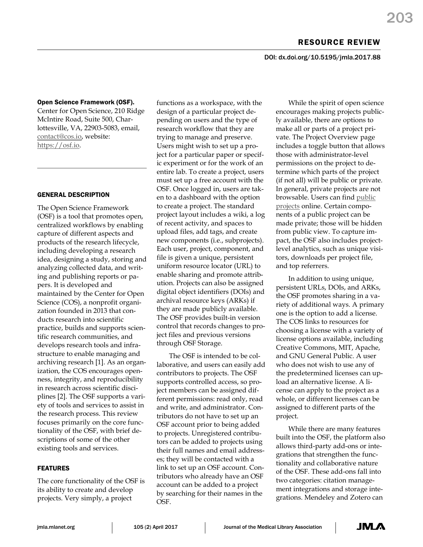DOI: dx.doi.org/10.5195/jmla.2017.88

# Open Science Framework (OSF).

Center for Open Science, 210 Ridge McIntire Road, Suite 500, Charlottesville, VA, 22903-5083, email, [contact@cos.io,](mailto:contact@cos.io) website: [https://osf.io.](https://osf.io/)

### GENERAL DESCRIPTION

The Open Science Framework (OSF) is a tool that promotes open, centralized workflows by enabling capture of different aspects and products of the research lifecycle, including developing a research idea, designing a study, storing and analyzing collected data, and writing and publishing reports or papers. It is developed and maintained by the Center for Open Science (COS), a nonprofit organization founded in 2013 that conducts research into scientific practice, builds and supports scientific research communities, and develops research tools and infrastructure to enable managing and archiving research [1]. As an organization, the COS encourages openness, integrity, and reproducibility in research across scientific disciplines [2]. The OSF supports a variety of tools and services to assist in the research process. This review focuses primarily on the core functionality of the OSF, with brief descriptions of some of the other existing tools and services.

# FEATURES

The core functionality of the OSF is its ability to create and develop projects. Very simply, a project

functions as a workspace, with the design of a particular project depending on users and the type of research workflow that they are trying to manage and preserve. Users might wish to set up a project for a particular paper or specific experiment or for the work of an entire lab. To create a project, users must set up a free account with the OSF. Once logged in, users are taken to a dashboard with the option to create a project. The standard project layout includes a wiki, a log of recent activity, and spaces to upload files, add tags, and create new components (i.e., subprojects). Each user, project, component, and file is given a unique, persistent uniform resource locator (URL) to enable sharing and promote attribution. Projects can also be assigned digital object identifiers (DOIs) and archival resource keys (ARKs) if they are made publicly available. The OSF provides built-in version control that records changes to project files and previous versions through OSF Storage.

The OSF is intended to be collaborative, and users can easily add contributors to projects. The OSF supports controlled access, so project members can be assigned different permissions: read only, read and write, and administrator. Contributors do not have to set up an OSF account prior to being added to projects. Unregistered contributors can be added to projects using their full names and email addresses; they will be contacted with a link to set up an OSF account. Contributors who already have an OSF account can be added to a project by searching for their names in the OSF.

While the spirit of open science encourages making projects publicly available, there are options to make all or parts of a project private. The Project Overview page includes a toggle button that allows those with administrator-level permissions on the project to determine which parts of the project (if not all) will be public or private. In general, private projects are not browsable. Users can find [public](https://osf.io/explore/activity/)  [projects](https://osf.io/explore/activity/) online. Certain components of a public project can be made private; those will be hidden from public view. To capture impact, the OSF also includes projectlevel analytics, such as unique visitors, downloads per project file, and top referrers.

In addition to using unique, persistent URLs, DOIs, and ARKs, the OSF promotes sharing in a variety of additional ways. A primary one is the option to add a license. The COS links to resources for choosing a license with a variety of license options available, including Creative Commons, MIT, Apache, and GNU General Public. A user who does not wish to use any of the predetermined licenses can upload an alternative license. A license can apply to the project as a whole, or different licenses can be assigned to different parts of the project.

While there are many features built into the OSF, the platform also allows third-party add-ons or integrations that strengthen the functionality and collaborative nature of the OSF. These add-ons fall into two categories: citation management integrations and storage integrations. Mendeley and Zotero can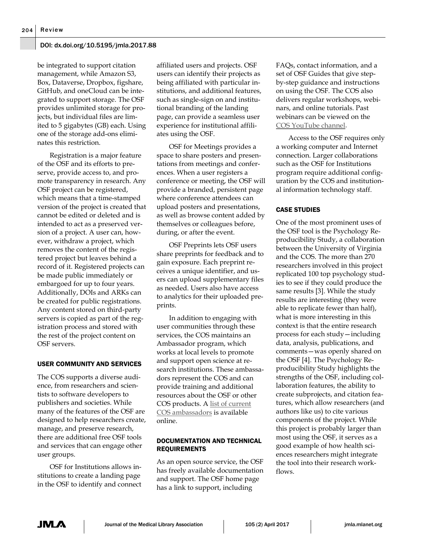### DOI: dx.doi.org/10.5195/jmla.2017.88

be integrated to support citation management, while Amazon S3, Box, Dataverse, Dropbox, figshare, GitHub, and oneCloud can be integrated to support storage. The OSF provides unlimited storage for projects, but individual files are limited to 5 gigabytes (GB) each. Using one of the storage add-ons eliminates this restriction.

Registration is a major feature of the OSF and its efforts to preserve, provide access to, and promote transparency in research. Any OSF project can be registered, which means that a time-stamped version of the project is created that cannot be edited or deleted and is intended to act as a preserved version of a project. A user can, however, withdraw a project, which removes the content of the registered project but leaves behind a record of it. Registered projects can be made public immediately or embargoed for up to four years. Additionally, DOIs and ARKs can be created for public registrations. Any content stored on third-party servers is copied as part of the registration process and stored with the rest of the project content on OSF servers.

# USER COMMUNITY AND SERVICES

The COS supports a diverse audience, from researchers and scientists to software developers to publishers and societies. While many of the features of the OSF are designed to help researchers create, manage, and preserve research, there are additional free OSF tools and services that can engage other user groups.

OSF for Institutions allows institutions to create a landing page in the OSF to identify and connect affiliated users and projects. OSF users can identify their projects as being affiliated with particular institutions, and additional features, such as single-sign on and institutional branding of the landing page, can provide a seamless user experience for institutional affiliates using the OSF.

OSF for Meetings provides a space to share posters and presentations from meetings and conferences. When a user registers a conference or meeting, the OSF will provide a branded, persistent page where conference attendees can upload posters and presentations, as well as browse content added by themselves or colleagues before, during, or after the event.

OSF Preprints lets OSF users share preprints for feedback and to gain exposure. Each preprint receives a unique identifier, and users can upload supplementary files as needed. Users also have access to analytics for their uploaded preprints.

In addition to engaging with user communities through these services, the COS maintains an Ambassador program, which works at local levels to promote and support open science at research institutions. These ambassadors represent the COS and can provide training and additional resources about the OSF or other COS products. A [list of current](https://cos.io/involved_participate/)  [COS ambassadors](https://cos.io/involved_participate/) is available online.

# DOCUMENTATION AND TECHNICAL REQUIREMENTS

As an open source service, the OSF has freely available documentation and support. The OSF home page has a link to support, including

FAQs, contact information, and a set of OSF Guides that give stepby-step guidance and instructions on using the OSF. The COS also delivers regular workshops, webinars, and online tutorials. Past webinars can be viewed on the [COS YouTube channel.](https://www.youtube.com/channel/UCGPlVf8FsQ23BehDLFrQa-g)

Access to the OSF requires only a working computer and Internet connection. Larger collaborations such as the OSF for Institutions program require additional configuration by the COS and institutional information technology staff.

### CASE STUDIES

One of the most prominent uses of the OSF tool is the Psychology Reproducibility Study, a collaboration between the University of Virginia and the COS. The more than 270 researchers involved in this project replicated 100 top psychology studies to see if they could produce the same results [3]. While the study results are interesting (they were able to replicate fewer than half), what is more interesting in this context is that the entire research process for each study—including data, analysis, publications, and comments—was openly shared on the OSF [4]. The Psychology Reproducibility Study highlights the strengths of the OSF, including collaboration features, the ability to create subprojects, and citation features, which allow researchers (and authors like us) to cite various components of the project. While this project is probably larger than most using the OSF, it serves as a good example of how health sciences researchers might integrate the tool into their research workflows.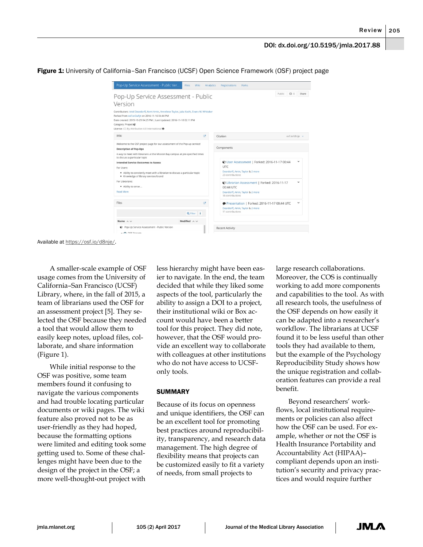Review 205

Figure 1: University of California–San Francisco (UCSF) Open Science Framework (OSF) project page



Available at [https://osf.io/d8nje/.](https://osf.io/d8nje/)

A smaller-scale example of OSF usage comes from the University of California–San Francisco (UCSF) Library, where, in the fall of 2015, a team of librarians used the OSF for an assessment project [5]. They selected the OSF because they needed a tool that would allow them to easily keep notes, upload files, collaborate, and share information (Figure 1).

While initial response to the OSF was positive, some team members found it confusing to navigate the various components and had trouble locating particular documents or wiki pages. The wiki feature also proved not to be as user-friendly as they had hoped, because the formatting options were limited and editing took some getting used to. Some of these challenges might have been due to the design of the project in the OSF; a more well-thought-out project with

less hierarchy might have been easier to navigate. In the end, the team decided that while they liked some aspects of the tool, particularly the ability to assign a DOI to a project, their institutional wiki or Box account would have been a better tool for this project. They did note, however, that the OSF would provide an excellent way to collaborate with colleagues at other institutions who do not have access to UCSFonly tools.

### **SUMMARY**

Because of its focus on openness and unique identifiers, the OSF can be an excellent tool for promoting best practices around reproducibility, transparency, and research data management. The high degree of flexibility means that projects can be customized easily to fit a variety of needs, from small projects to

large research collaborations. Moreover, the COS is continually working to add more components and capabilities to the tool. As with all research tools, the usefulness of the OSF depends on how easily it can be adapted into a researcher's workflow. The librarians at UCSF found it to be less useful than other tools they had available to them, but the example of the Psychology Reproducibility Study shows how the unique registration and collaboration features can provide a real benefit.

Beyond researchers' workflows, local institutional requirements or policies can also affect how the OSF can be used. For example, whether or not the OSF is Health Insurance Portability and Accountability Act (HIPAA)– compliant depends upon an institution's security and privacy practices and would require further